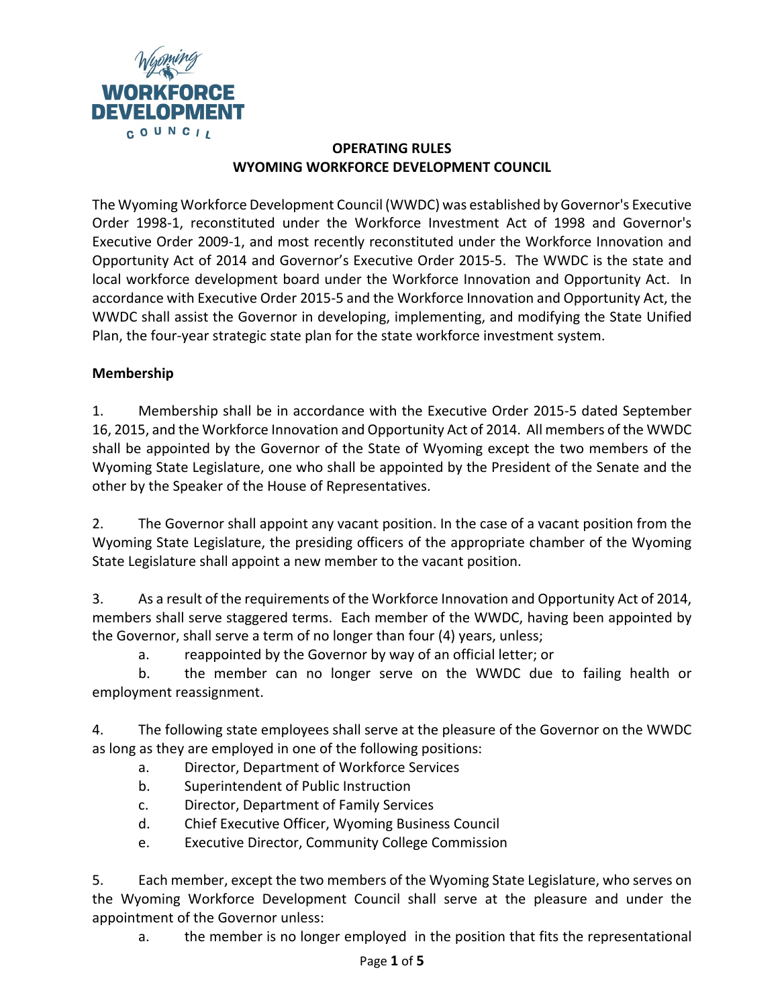

## **OPERATING RULES WYOMING WORKFORCE DEVELOPMENT COUNCIL**

The Wyoming Workforce Development Council (WWDC) was established by Governor's Executive Order 1998-1, reconstituted under the Workforce Investment Act of 1998 and Governor's Executive Order 2009-1, and most recently reconstituted under the Workforce Innovation and Opportunity Act of 2014 and Governor's Executive Order 2015-5. The WWDC is the state and local workforce development board under the Workforce Innovation and Opportunity Act. In accordance with Executive Order 2015-5 and the Workforce Innovation and Opportunity Act, the WWDC shall assist the Governor in developing, implementing, and modifying the State Unified Plan, the four-year strategic state plan for the state workforce investment system.

## **Membership**

1. Membership shall be in accordance with the Executive Order 2015-5 dated September 16, 2015, and the Workforce Innovation and Opportunity Act of 2014. All members of the WWDC shall be appointed by the Governor of the State of Wyoming except the two members of the Wyoming State Legislature, one who shall be appointed by the President of the Senate and the other by the Speaker of the House of Representatives.

2. The Governor shall appoint any vacant position. In the case of a vacant position from the Wyoming State Legislature, the presiding officers of the appropriate chamber of the Wyoming State Legislature shall appoint a new member to the vacant position.

3. As a result of the requirements of the Workforce Innovation and Opportunity Act of 2014, members shall serve staggered terms. Each member of the WWDC, having been appointed by the Governor, shall serve a term of no longer than four (4) years, unless;

a. reappointed by the Governor by way of an official letter; or

b. the member can no longer serve on the WWDC due to failing health or employment reassignment.

4. The following state employees shall serve at the pleasure of the Governor on the WWDC as long as they are employed in one of the following positions:

- a. Director, Department of Workforce Services
- b. Superintendent of Public Instruction
- c. Director, Department of Family Services
- d. Chief Executive Officer, Wyoming Business Council
- e. Executive Director, Community College Commission

5. Each member, except the two members of the Wyoming State Legislature, who serves on the Wyoming Workforce Development Council shall serve at the pleasure and under the appointment of the Governor unless:

a. the member is no longer employed in the position that fits the representational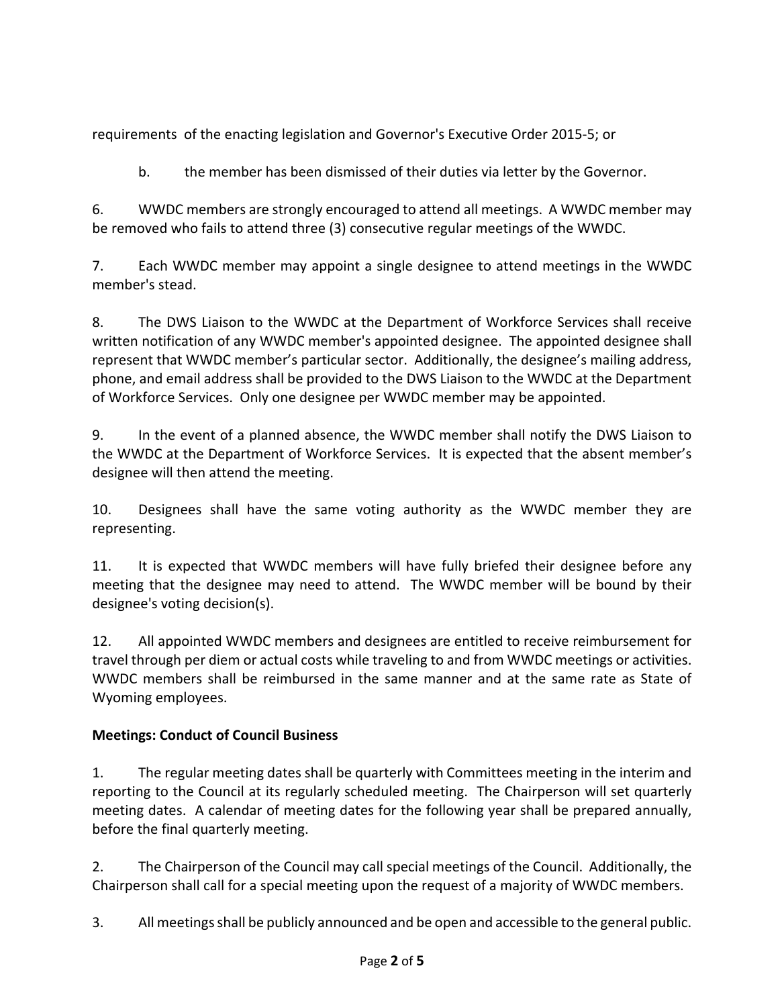requirements of the enacting legislation and Governor's Executive Order 2015-5; or

b. the member has been dismissed of their duties via letter by the Governor.

6. WWDC members are strongly encouraged to attend all meetings. A WWDC member may be removed who fails to attend three (3) consecutive regular meetings of the WWDC.

7. Each WWDC member may appoint a single designee to attend meetings in the WWDC member's stead.

8. The DWS Liaison to the WWDC at the Department of Workforce Services shall receive written notification of any WWDC member's appointed designee. The appointed designee shall represent that WWDC member's particular sector. Additionally, the designee's mailing address, phone, and email address shall be provided to the DWS Liaison to the WWDC at the Department of Workforce Services. Only one designee per WWDC member may be appointed.

9. In the event of a planned absence, the WWDC member shall notify the DWS Liaison to the WWDC at the Department of Workforce Services. It is expected that the absent member's designee will then attend the meeting.

10. Designees shall have the same voting authority as the WWDC member they are representing.

11. It is expected that WWDC members will have fully briefed their designee before any meeting that the designee may need to attend. The WWDC member will be bound by their designee's voting decision(s).

12. All appointed WWDC members and designees are entitled to receive reimbursement for travel through per diem or actual costs while traveling to and from WWDC meetings or activities. WWDC members shall be reimbursed in the same manner and at the same rate as State of Wyoming employees.

## **Meetings: Conduct of Council Business**

1. The regular meeting dates shall be quarterly with Committees meeting in the interim and reporting to the Council at its regularly scheduled meeting. The Chairperson will set quarterly meeting dates. A calendar of meeting dates for the following year shall be prepared annually, before the final quarterly meeting.

2. The Chairperson of the Council may call special meetings of the Council. Additionally, the Chairperson shall call for a special meeting upon the request of a majority of WWDC members.

3. All meetings shall be publicly announced and be open and accessible to the general public.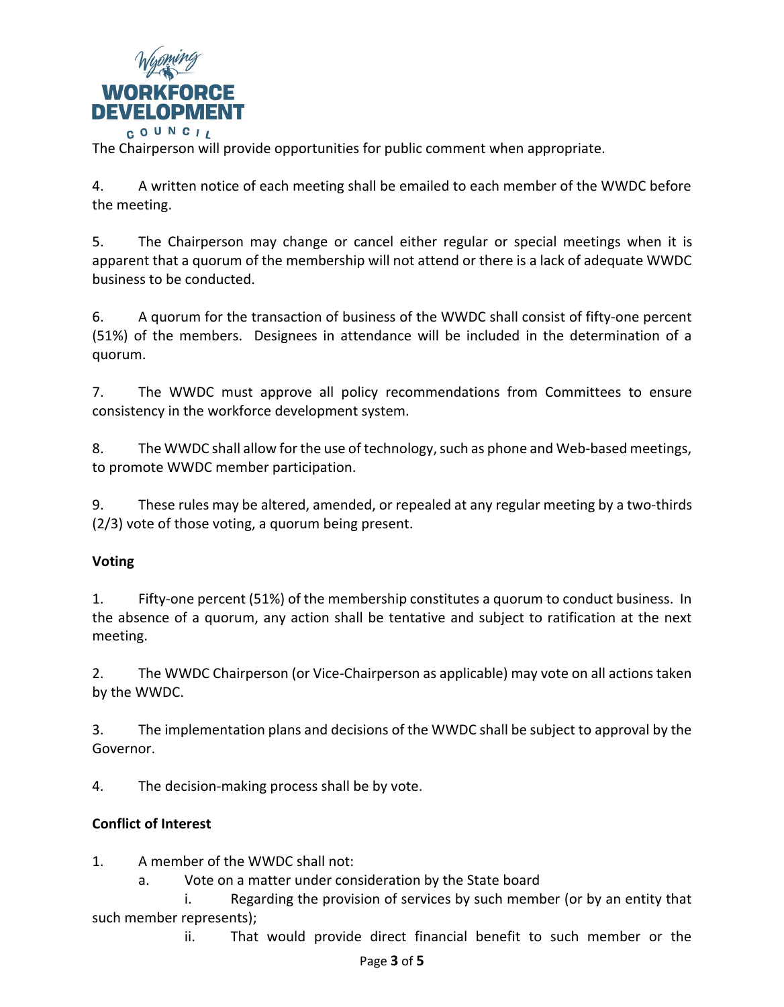

The Chairperson will provide opportunities for public comment when appropriate.

4. A written notice of each meeting shall be emailed to each member of the WWDC before the meeting.

5. The Chairperson may change or cancel either regular or special meetings when it is apparent that a quorum of the membership will not attend or there is a lack of adequate WWDC business to be conducted.

6. A quorum for the transaction of business of the WWDC shall consist of fifty-one percent (51%) of the members. Designees in attendance will be included in the determination of a quorum.

7. The WWDC must approve all policy recommendations from Committees to ensure consistency in the workforce development system.

8. The WWDC shall allow for the use of technology, such as phone and Web-based meetings, to promote WWDC member participation.

9. These rules may be altered, amended, or repealed at any regular meeting by a two-thirds (2/3) vote of those voting, a quorum being present.

## **Voting**

1. Fifty-one percent (51%) of the membership constitutes a quorum to conduct business. In the absence of a quorum, any action shall be tentative and subject to ratification at the next meeting.

2. The WWDC Chairperson (or Vice-Chairperson as applicable) may vote on all actions taken by the WWDC.

3. The implementation plans and decisions of the WWDC shall be subject to approval by the Governor.

4. The decision-making process shall be by vote.

## **Conflict of Interest**

1. A member of the WWDC shall not:

a. Vote on a matter under consideration by the State board

i. Regarding the provision of services by such member (or by an entity that such member represents);

ii. That would provide direct financial benefit to such member or the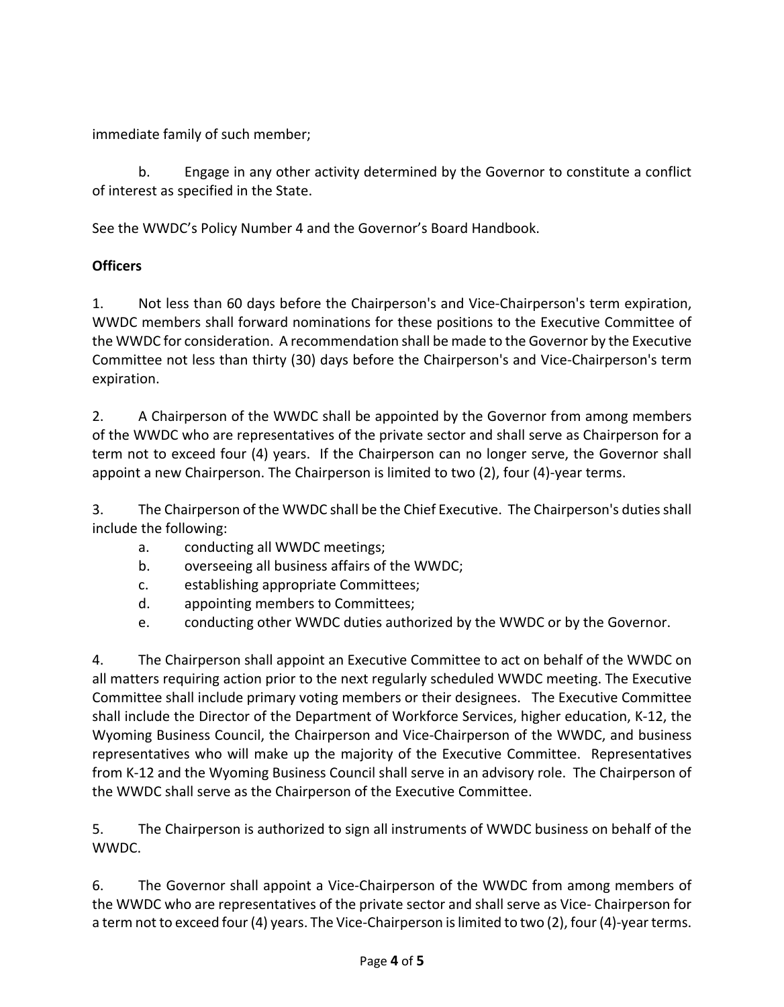immediate family of such member;

b. Engage in any other activity determined by the Governor to constitute a conflict of interest as specified in the State.

See the WWDC's Policy Number 4 and the Governor's Board Handbook.

# **Officers**

1. Not less than 60 days before the Chairperson's and Vice-Chairperson's term expiration, WWDC members shall forward nominations for these positions to the Executive Committee of the WWDC for consideration. A recommendation shall be made to the Governor by the Executive Committee not less than thirty (30) days before the Chairperson's and Vice-Chairperson's term expiration.

2. A Chairperson of the WWDC shall be appointed by the Governor from among members of the WWDC who are representatives of the private sector and shall serve as Chairperson for a term not to exceed four (4) years. If the Chairperson can no longer serve, the Governor shall appoint a new Chairperson. The Chairperson is limited to two (2), four (4)-year terms.

3. The Chairperson of the WWDC shall be the Chief Executive. The Chairperson's duties shall include the following:

- a. conducting all WWDC meetings;
- b. overseeing all business affairs of the WWDC;
- c. establishing appropriate Committees;
- d. appointing members to Committees;
- e. conducting other WWDC duties authorized by the WWDC or by the Governor.

4. The Chairperson shall appoint an Executive Committee to act on behalf of the WWDC on all matters requiring action prior to the next regularly scheduled WWDC meeting. The Executive Committee shall include primary voting members or their designees. The Executive Committee shall include the Director of the Department of Workforce Services, higher education, K-12, the Wyoming Business Council, the Chairperson and Vice-Chairperson of the WWDC, and business representatives who will make up the majority of the Executive Committee. Representatives from K-12 and the Wyoming Business Council shall serve in an advisory role. The Chairperson of the WWDC shall serve as the Chairperson of the Executive Committee.

5. The Chairperson is authorized to sign all instruments of WWDC business on behalf of the WWDC.

6. The Governor shall appoint a Vice-Chairperson of the WWDC from among members of the WWDC who are representatives of the private sector and shall serve as Vice- Chairperson for a term not to exceed four (4) years. The Vice-Chairperson is limited to two (2), four (4)-year terms.